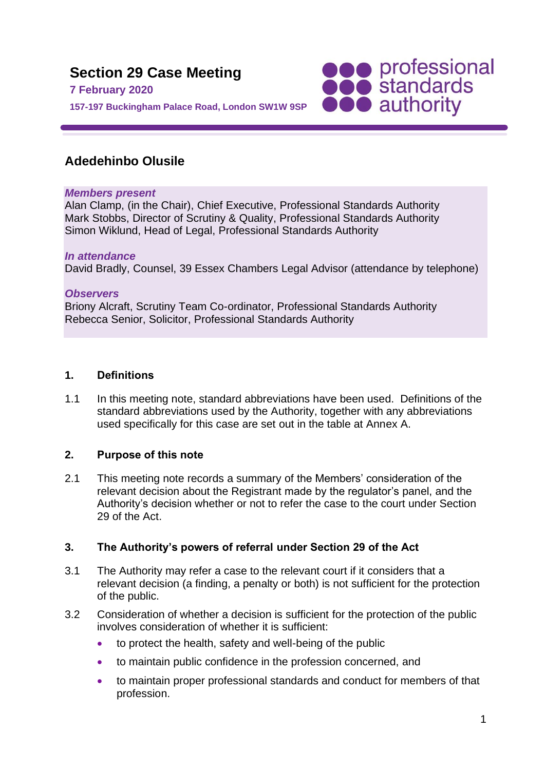

# **Adedehinbo Olusile**

#### *Members present*

Alan Clamp, (in the Chair), Chief Executive, Professional Standards Authority Mark Stobbs, Director of Scrutiny & Quality, Professional Standards Authority Simon Wiklund, Head of Legal, Professional Standards Authority

#### *In attendance*

David Bradly, Counsel, 39 Essex Chambers Legal Advisor (attendance by telephone)

#### *Observers*

Briony Alcraft, Scrutiny Team Co-ordinator, Professional Standards Authority Rebecca Senior, Solicitor, Professional Standards Authority

#### **1. Definitions**

1.1 In this meeting note, standard abbreviations have been used. Definitions of the standard abbreviations used by the Authority, together with any abbreviations used specifically for this case are set out in the table at Annex A.

### **2. Purpose of this note**

2.1 This meeting note records a summary of the Members' consideration of the relevant decision about the Registrant made by the regulator's panel, and the Authority's decision whether or not to refer the case to the court under Section 29 of the Act.

### **3. The Authority's powers of referral under Section 29 of the Act**

- 3.1 The Authority may refer a case to the relevant court if it considers that a relevant decision (a finding, a penalty or both) is not sufficient for the protection of the public.
- 3.2 Consideration of whether a decision is sufficient for the protection of the public involves consideration of whether it is sufficient:
	- to protect the health, safety and well-being of the public
	- to maintain public confidence in the profession concerned, and
	- to maintain proper professional standards and conduct for members of that profession.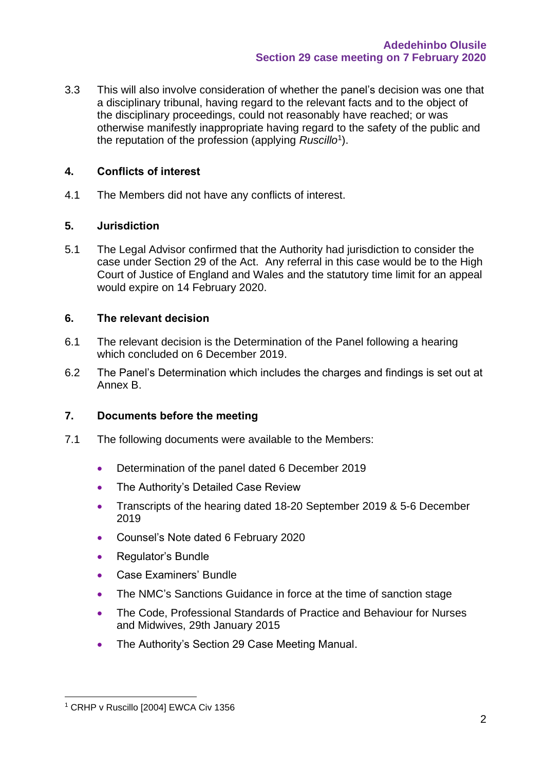3.3 This will also involve consideration of whether the panel's decision was one that a disciplinary tribunal, having regard to the relevant facts and to the object of the disciplinary proceedings, could not reasonably have reached; or was otherwise manifestly inappropriate having regard to the safety of the public and the reputation of the profession (applying *Ruscillo*<sup>1</sup> ).

#### **4. Conflicts of interest**

4.1 The Members did not have any conflicts of interest.

#### **5. Jurisdiction**

5.1 The Legal Advisor confirmed that the Authority had jurisdiction to consider the case under Section 29 of the Act. Any referral in this case would be to the High Court of Justice of England and Wales and the statutory time limit for an appeal would expire on 14 February 2020.

#### **6. The relevant decision**

- 6.1 The relevant decision is the Determination of the Panel following a hearing which concluded on 6 December 2019.
- 6.2 The Panel's Determination which includes the charges and findings is set out at Annex B.

### **7. Documents before the meeting**

- 7.1 The following documents were available to the Members:
	- Determination of the panel dated 6 December 2019
	- The Authority's Detailed Case Review
	- Transcripts of the hearing dated 18-20 September 2019 & 5-6 December 2019
	- Counsel's Note dated 6 February 2020
	- Regulator's Bundle
	- Case Examiners' Bundle
	- The NMC's Sanctions Guidance in force at the time of sanction stage
	- The Code, Professional Standards of Practice and Behaviour for Nurses and Midwives, 29th January 2015
	- The Authority's Section 29 Case Meeting Manual.

<sup>&</sup>lt;sup>1</sup> CRHP v Ruscillo [2004] EWCA Civ 1356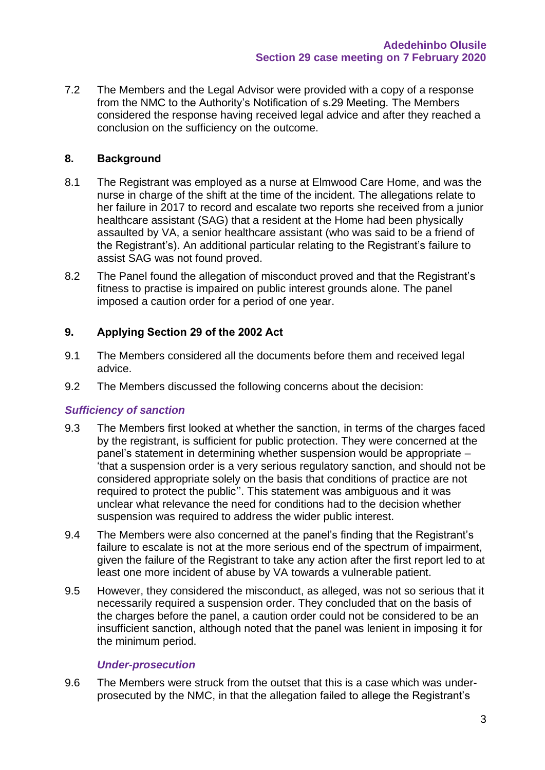7.2 The Members and the Legal Advisor were provided with a copy of a response from the NMC to the Authority's Notification of s.29 Meeting. The Members considered the response having received legal advice and after they reached a conclusion on the sufficiency on the outcome.

### **8. Background**

- 8.1 The Registrant was employed as a nurse at Elmwood Care Home, and was the nurse in charge of the shift at the time of the incident. The allegations relate to her failure in 2017 to record and escalate two reports she received from a junior healthcare assistant (SAG) that a resident at the Home had been physically assaulted by VA, a senior healthcare assistant (who was said to be a friend of the Registrant's). An additional particular relating to the Registrant's failure to assist SAG was not found proved.
- 8.2 The Panel found the allegation of misconduct proved and that the Registrant's fitness to practise is impaired on public interest grounds alone. The panel imposed a caution order for a period of one year.

### **9. Applying Section 29 of the 2002 Act**

- 9.1 The Members considered all the documents before them and received legal advice.
- 9.2 The Members discussed the following concerns about the decision:

### *Sufficiency of sanction*

- 9.3 The Members first looked at whether the sanction, in terms of the charges faced by the registrant, is sufficient for public protection. They were concerned at the panel's statement in determining whether suspension would be appropriate – 'that a suspension order is a very serious regulatory sanction, and should not be considered appropriate solely on the basis that conditions of practice are not required to protect the public''. This statement was ambiguous and it was unclear what relevance the need for conditions had to the decision whether suspension was required to address the wider public interest.
- 9.4 The Members were also concerned at the panel's finding that the Registrant's failure to escalate is not at the more serious end of the spectrum of impairment, given the failure of the Registrant to take any action after the first report led to at least one more incident of abuse by VA towards a vulnerable patient.
- 9.5 However, they considered the misconduct, as alleged, was not so serious that it necessarily required a suspension order. They concluded that on the basis of the charges before the panel, a caution order could not be considered to be an insufficient sanction, although noted that the panel was lenient in imposing it for the minimum period.

### *Under-prosecution*

9.6 The Members were struck from the outset that this is a case which was underprosecuted by the NMC, in that the allegation failed to allege the Registrant's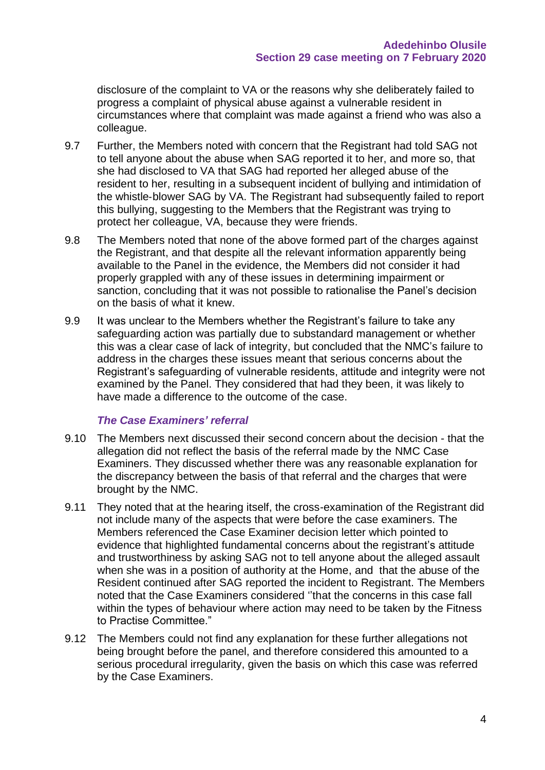disclosure of the complaint to VA or the reasons why she deliberately failed to progress a complaint of physical abuse against a vulnerable resident in circumstances where that complaint was made against a friend who was also a colleague.

- 9.7 Further, the Members noted with concern that the Registrant had told SAG not to tell anyone about the abuse when SAG reported it to her, and more so, that she had disclosed to VA that SAG had reported her alleged abuse of the resident to her, resulting in a subsequent incident of bullying and intimidation of the whistle‐blower SAG by VA. The Registrant had subsequently failed to report this bullying, suggesting to the Members that the Registrant was trying to protect her colleague, VA, because they were friends.
- 9.8 The Members noted that none of the above formed part of the charges against the Registrant, and that despite all the relevant information apparently being available to the Panel in the evidence, the Members did not consider it had properly grappled with any of these issues in determining impairment or sanction, concluding that it was not possible to rationalise the Panel's decision on the basis of what it knew.
- 9.9 It was unclear to the Members whether the Registrant's failure to take any safeguarding action was partially due to substandard management or whether this was a clear case of lack of integrity, but concluded that the NMC's failure to address in the charges these issues meant that serious concerns about the Registrant's safeguarding of vulnerable residents, attitude and integrity were not examined by the Panel. They considered that had they been, it was likely to have made a difference to the outcome of the case.

#### *The Case Examiners' referral*

- 9.10 The Members next discussed their second concern about the decision that the allegation did not reflect the basis of the referral made by the NMC Case Examiners. They discussed whether there was any reasonable explanation for the discrepancy between the basis of that referral and the charges that were brought by the NMC.
- 9.11 They noted that at the hearing itself, the cross-examination of the Registrant did not include many of the aspects that were before the case examiners. The Members referenced the Case Examiner decision letter which pointed to evidence that highlighted fundamental concerns about the registrant's attitude and trustworthiness by asking SAG not to tell anyone about the alleged assault when she was in a position of authority at the Home, and that the abuse of the Resident continued after SAG reported the incident to Registrant. The Members noted that the Case Examiners considered ''that the concerns in this case fall within the types of behaviour where action may need to be taken by the Fitness to Practise Committee."
- 9.12 The Members could not find any explanation for these further allegations not being brought before the panel, and therefore considered this amounted to a serious procedural irregularity, given the basis on which this case was referred by the Case Examiners.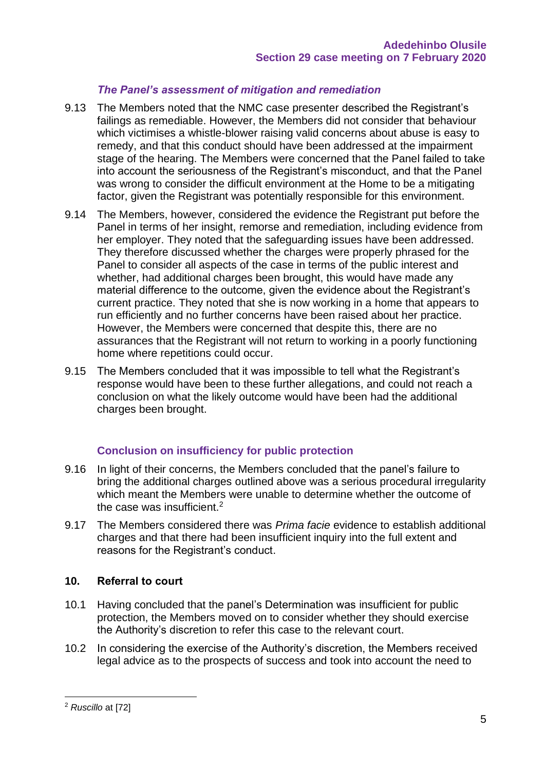### *The Panel's assessment of mitigation and remediation*

- 9.13 The Members noted that the NMC case presenter described the Registrant's failings as remediable. However, the Members did not consider that behaviour which victimises a whistle-blower raising valid concerns about abuse is easy to remedy, and that this conduct should have been addressed at the impairment stage of the hearing. The Members were concerned that the Panel failed to take into account the seriousness of the Registrant's misconduct, and that the Panel was wrong to consider the difficult environment at the Home to be a mitigating factor, given the Registrant was potentially responsible for this environment.
- 9.14 The Members, however, considered the evidence the Registrant put before the Panel in terms of her insight, remorse and remediation, including evidence from her employer. They noted that the safeguarding issues have been addressed. They therefore discussed whether the charges were properly phrased for the Panel to consider all aspects of the case in terms of the public interest and whether, had additional charges been brought, this would have made any material difference to the outcome, given the evidence about the Registrant's current practice. They noted that she is now working in a home that appears to run efficiently and no further concerns have been raised about her practice. However, the Members were concerned that despite this, there are no assurances that the Registrant will not return to working in a poorly functioning home where repetitions could occur.
- 9.15 The Members concluded that it was impossible to tell what the Registrant's response would have been to these further allegations, and could not reach a conclusion on what the likely outcome would have been had the additional charges been brought.

### **Conclusion on insufficiency for public protection**

- 9.16 In light of their concerns, the Members concluded that the panel's failure to bring the additional charges outlined above was a serious procedural irregularity which meant the Members were unable to determine whether the outcome of the case was insufficient.<sup>2</sup>
- 9.17 The Members considered there was *Prima facie* evidence to establish additional charges and that there had been insufficient inquiry into the full extent and reasons for the Registrant's conduct.

### **10. Referral to court**

- 10.1 Having concluded that the panel's Determination was insufficient for public protection, the Members moved on to consider whether they should exercise the Authority's discretion to refer this case to the relevant court.
- 10.2 In considering the exercise of the Authority's discretion, the Members received legal advice as to the prospects of success and took into account the need to

<sup>2</sup> *Ruscillo* at [72]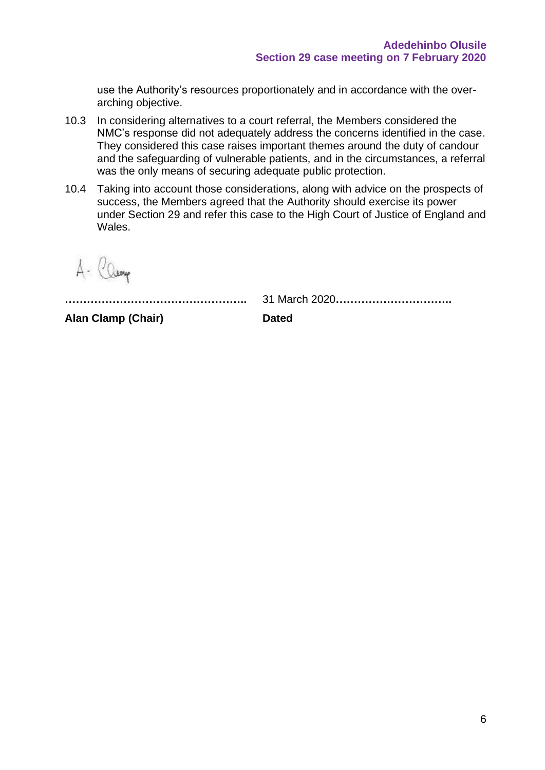use the Authority's resources proportionately and in accordance with the overarching objective.

- 10.3 In considering alternatives to a court referral, the Members considered the NMC's response did not adequately address the concerns identified in the case. They considered this case raises important themes around the duty of candour and the safeguarding of vulnerable patients, and in the circumstances, a referral was the only means of securing adequate public protection.
- 10.4 Taking into account those considerations, along with advice on the prospects of success, the Members agreed that the Authority should exercise its power under Section 29 and refer this case to the High Court of Justice of England and Wales.

A- Camp

**…………………………………………..** 31 March 2020**…………………………..**

**Alan Clamp (Chair) Dated**